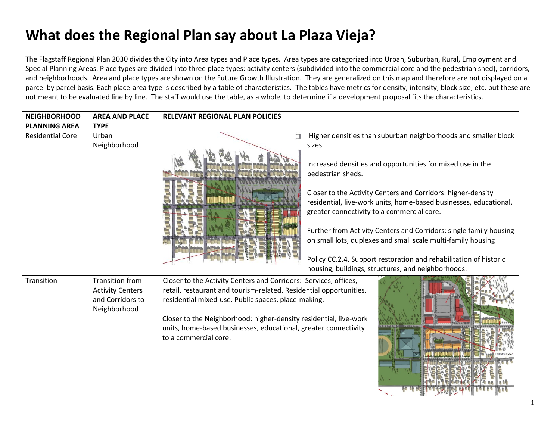## **What does the Regional Plan say about La Plaza Vieja?**

The Flagstaff Regional Plan 2030 divides the City into Area types and Place types. Area types are categorized into Urban, Suburban, Rural, Employment and Special Planning Areas. Place types are divided into three place types: activity centers (subdivided into the commercial core and the pedestrian shed), corridors, and neighborhoods. Area and place types are shown on the Future Growth Illustration. They are generalized on this map and therefore are not displayed on a parcel by parcel basis. Each place-area type is described by a table of characteristics. The tables have metrics for density, intensity, block size, etc. but these are not meant to be evaluated line by line. The staff would use the table, as a whole, to determine if a development proposal fits the characteristics.

| <b>NEIGHBORHOOD</b>                             | <b>AREA AND PLACE</b>                                                                 | <b>RELEVANT REGIONAL PLAN POLICIES</b>                                                                                                                                                                                                                                                                                                                         |  |
|-------------------------------------------------|---------------------------------------------------------------------------------------|----------------------------------------------------------------------------------------------------------------------------------------------------------------------------------------------------------------------------------------------------------------------------------------------------------------------------------------------------------------|--|
| <b>PLANNING AREA</b><br><b>Residential Core</b> | <b>TYPE</b><br>Urban<br>Neighborhood                                                  | Higher densities than suburban neighborhoods and smaller block<br>Π<br>sizes.                                                                                                                                                                                                                                                                                  |  |
|                                                 |                                                                                       | Increased densities and opportunities for mixed use in the<br>pedestrian sheds.                                                                                                                                                                                                                                                                                |  |
|                                                 |                                                                                       | Closer to the Activity Centers and Corridors: higher-density<br>residential, live-work units, home-based businesses, educational,<br>greater connectivity to a commercial core.                                                                                                                                                                                |  |
|                                                 |                                                                                       | Further from Activity Centers and Corridors: single family housing<br>on small lots, duplexes and small scale multi-family housing                                                                                                                                                                                                                             |  |
|                                                 |                                                                                       | Policy CC.2.4. Support restoration and rehabilitation of historic<br>housing, buildings, structures, and neighborhoods.                                                                                                                                                                                                                                        |  |
| Transition                                      | <b>Transition from</b><br><b>Activity Centers</b><br>and Corridors to<br>Neighborhood | Closer to the Activity Centers and Corridors: Services, offices,<br>retail, restaurant and tourism-related. Residential opportunities,<br>residential mixed-use. Public spaces, place-making.<br>Closer to the Neighborhood: higher-density residential, live-work<br>units, home-based businesses, educational, greater connectivity<br>to a commercial core. |  |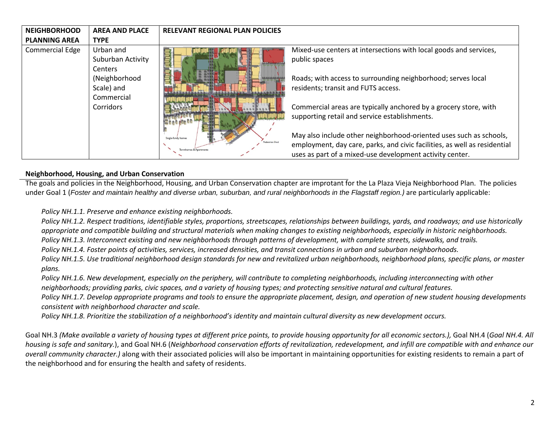| <b>NEIGHBORHOOD</b><br><b>PLANNING AREA</b> | <b>AREA AND PLACE</b>                                                                                                     | <b>RELEVANT REGIONAL PLAN POLICIES</b>    |                                                                                                                                                                                                                                                                                                                |
|---------------------------------------------|---------------------------------------------------------------------------------------------------------------------------|-------------------------------------------|----------------------------------------------------------------------------------------------------------------------------------------------------------------------------------------------------------------------------------------------------------------------------------------------------------------|
| <b>Commercial Edge</b>                      | <b>TYPE</b><br>Urban and<br>Suburban Activity<br><b>Centers</b><br>(Neighborhood<br>Scale) and<br>Commercial<br>Corridors |                                           | Mixed-use centers at intersections with local goods and services,<br>public spaces<br>Roads; with access to surrounding neighborhood; serves local<br>residents; transit and FUTS access.<br>Commercial areas are typically anchored by a grocery store, with<br>supporting retail and service establishments. |
|                                             |                                                                                                                           | Single-family home<br>ownhomes & Apartmen | May also include other neighborhood-oriented uses such as schools,<br>employment, day care, parks, and civic facilities, as well as residential<br>uses as part of a mixed-use development activity center.                                                                                                    |

## **Neighborhood, Housing, and Urban Conservation**

The goals and policies in the Neighborhood, Housing, and Urban Conservation chapter are improtant for the La Plaza Vieja Neighborhood Plan. The policies under Goal 1 (*Foster and maintain healthy and diverse urban, suburban, and rural neighborhoods in the Flagstaff region.)* are particularly applicable:

*Policy NH.1.1. Preserve and enhance existing neighborhoods.*

*Policy NH.1.2. Respect traditions, identifiable styles, proportions, streetscapes, relationships between buildings, yards, and roadways; and use historically appropriate and compatible building and structural materials when making changes to existing neighborhoods, especially in historic neighborhoods. Policy NH.1.3. Interconnect existing and new neighborhoods through patterns of development, with complete streets, sidewalks, and trails.*

*Policy NH.1.4. Foster points of activities, services, increased densities, and transit connections in urban and suburban neighborhoods.*

*Policy NH.1.5. Use traditional neighborhood design standards for new and revitalized urban neighborhoods, neighborhood plans, specific plans, or master plans.*

*Policy NH.1.6. New development, especially on the periphery, will contribute to completing neighborhoods, including interconnecting with other neighborhoods; providing parks, civic spaces, and a variety of housing types; and protecting sensitive natural and cultural features.*

*Policy NH.1.7. Develop appropriate programs and tools to ensure the appropriate placement, design, and operation of new student housing developments consistent with neighborhood character and scale.*

*Policy NH.1.8. Prioritize the stabilization of a neighborhood's identity and maintain cultural diversity as new development occurs.*

Goal NH.3 *(Make available a variety of housing types at different price points, to provide housing opportunity for all economic sectors.), Goal NH.4 (Goal NH.4. All housing is safe and sanitary.*), and Goal NH.6 (*Neighborhood conservation efforts of revitalization, redevelopment, and infill are compatible with and enhance our overall community character.)* along with their associated policies will also be important in maintaining opportunities for existing residents to remain a part of the neighborhood and for ensuring the health and safety of residents.